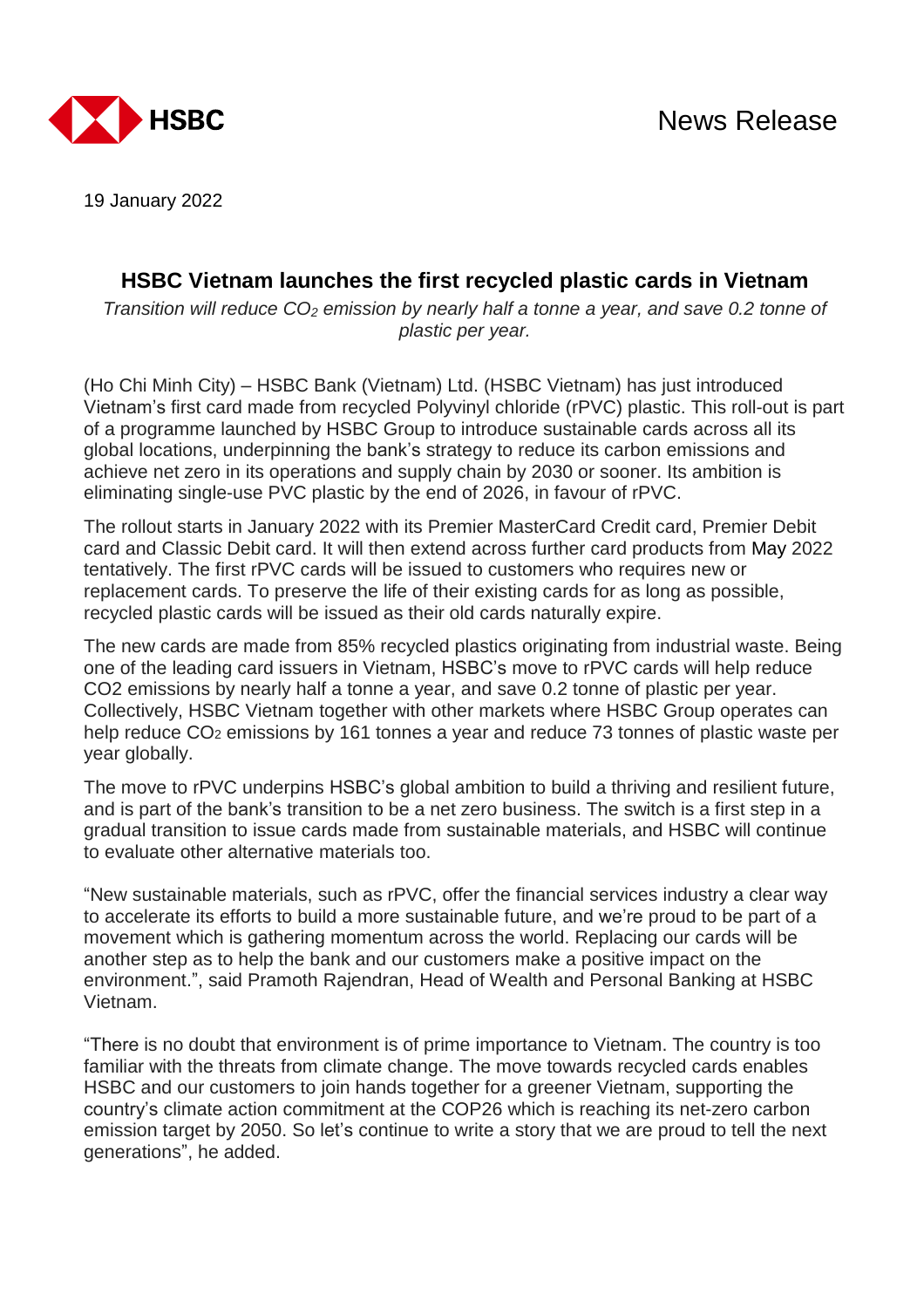

19 January 2022

## **HSBC Vietnam launches the first recycled plastic cards in Vietnam**

*Transition will reduce CO<sup>2</sup> emission by nearly half a tonne a year, and save 0.2 tonne of plastic per year.*

(Ho Chi Minh City) – HSBC Bank (Vietnam) Ltd. (HSBC Vietnam) has just introduced Vietnam's first card made from recycled Polyvinyl chloride (rPVC) plastic. This roll-out is part of a programme launched by HSBC Group to introduce sustainable cards across all its global locations, underpinning the bank's strategy to reduce its carbon emissions and achieve net zero in its operations and supply chain by 2030 or sooner. Its ambition is eliminating single-use PVC plastic by the end of 2026, in favour of rPVC.

The rollout starts in January 2022 with its Premier MasterCard Credit card, Premier Debit card and Classic Debit card. It will then extend across further card products from May 2022 tentatively. The first rPVC cards will be issued to customers who requires new or replacement cards. To preserve the life of their existing cards for as long as possible, recycled plastic cards will be issued as their old cards naturally expire.

The new cards are made from 85% recycled plastics originating from industrial waste. Being one of the leading card issuers in Vietnam, HSBC's move to rPVC cards will help reduce CO2 emissions by nearly half a tonne a year, and save 0.2 tonne of plastic per year. Collectively, HSBC Vietnam together with other markets where HSBC Group operates can help reduce CO<sub>2</sub> emissions by 161 tonnes a year and reduce 73 tonnes of plastic waste per year globally.

The move to rPVC underpins HSBC's global ambition to build a thriving and resilient future, and is part of the bank's transition to be a net zero business. The switch is a first step in a gradual transition to issue cards made from sustainable materials, and HSBC will continue to evaluate other alternative materials too.

"New sustainable materials, such as rPVC, offer the financial services industry a clear way to accelerate its efforts to build a more sustainable future, and we're proud to be part of a movement which is gathering momentum across the world. Replacing our cards will be another step as to help the bank and our customers make a positive impact on the environment.", said Pramoth Rajendran, Head of Wealth and Personal Banking at HSBC Vietnam.

"There is no doubt that environment is of prime importance to Vietnam. The country is too familiar with the threats from climate change. The move towards recycled cards enables HSBC and our customers to join hands together for a greener Vietnam, supporting the country's climate action commitment at the COP26 which is reaching its net-zero carbon emission target by 2050. So let's continue to write a story that we are proud to tell the next generations", he added.